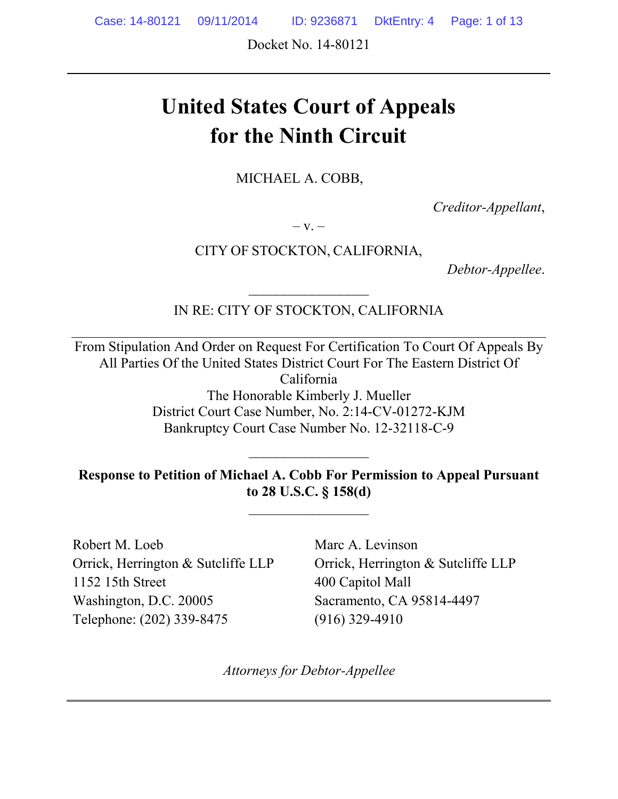Case: 14-80121 09/11/2014 ID: 9236871 DktEntry: 4 Page: 1 of 13

Docket No. 14-80121

# **United States Court of Appeals for the Ninth Circuit**

MICHAEL A. COBB,

*Creditor-Appellant*,

 $-V. -$ 

CITY OF STOCKTON, CALIFORNIA,

*Debtor-Appellee*.

IN RE: CITY OF STOCKTON, CALIFORNIA

 $\frac{1}{2}$ 

From Stipulation And Order on Request For Certification To Court Of Appeals By All Parties Of the United States District Court For The Eastern District Of California The Honorable Kimberly J. Mueller District Court Case Number, No. 2:14-CV-01272-KJM Bankruptcy Court Case Number No. 12-32118-C-9

**Response to Petition of Michael A. Cobb For Permission to Appeal Pursuant to 28 U.S.C. § 158(d)**

 $\mathcal{L}_\text{max}$ 

Robert M. Loeb Orrick, Herrington & Sutcliffe LLP 1152 15th Street Washington, D.C. 20005 Telephone: (202) 339-8475

Marc A. Levinson Orrick, Herrington & Sutcliffe LLP 400 Capitol Mall Sacramento, CA 95814-4497 (916) 329-4910

*Attorneys for Debtor-Appellee*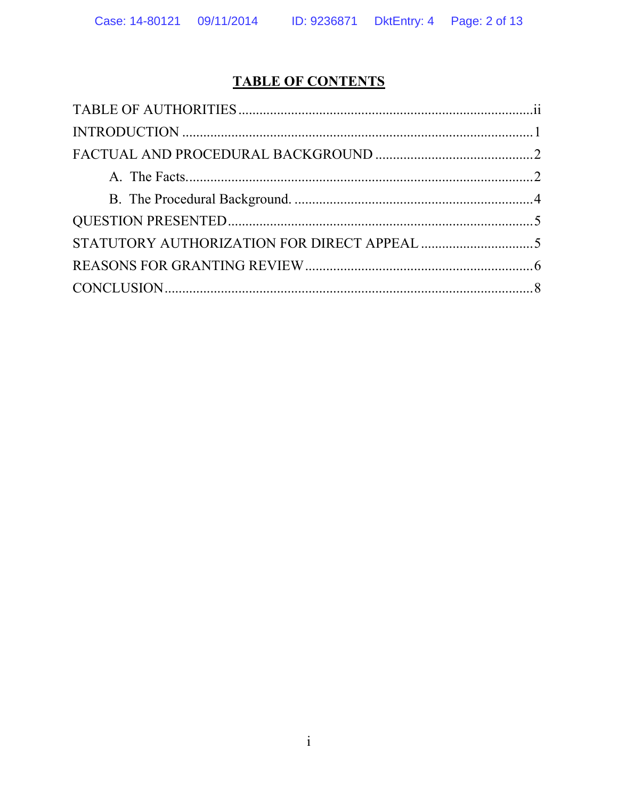# **TABLE OF CONTENTS**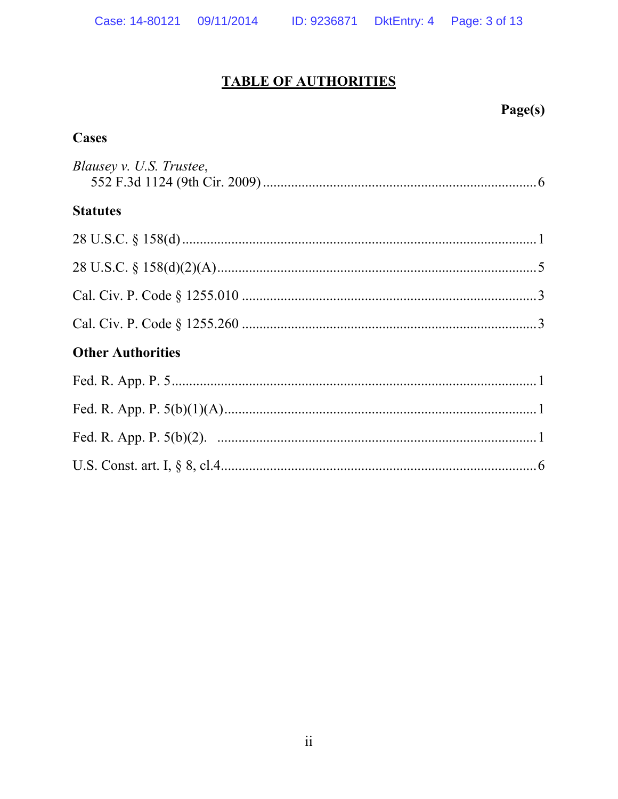Case: 14-80121 09/11/2014 ID: 9236871 DktEntry: 4 Page: 3 of 13

# **TABLE OF AUTHORITIES**

# Page(s)

### **Cases**

| Blausey v. U.S. Trustee, |
|--------------------------|
| <b>Statutes</b>          |
|                          |
|                          |
|                          |
|                          |
| <b>Other Authorities</b> |
|                          |
|                          |
|                          |
|                          |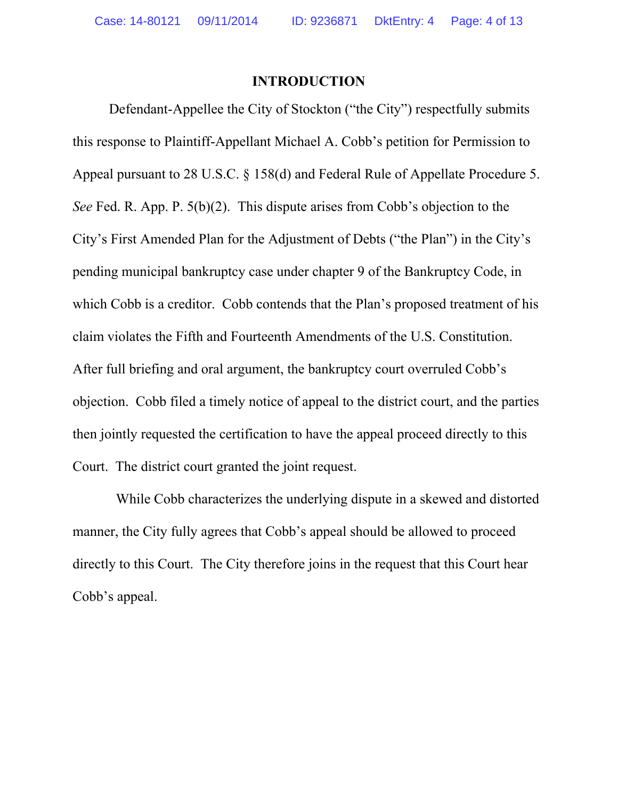#### **INTRODUCTION**

Defendant-Appellee the City of Stockton ("the City") respectfully submits this response to Plaintiff-Appellant Michael A. Cobb's petition for Permission to Appeal pursuant to 28 U.S.C. § 158(d) and Federal Rule of Appellate Procedure 5. *See* Fed. R. App. P. 5(b)(2). This dispute arises from Cobb's objection to the City's First Amended Plan for the Adjustment of Debts ("the Plan") in the City's pending municipal bankruptcy case under chapter 9 of the Bankruptcy Code, in which Cobb is a creditor. Cobb contends that the Plan's proposed treatment of his claim violates the Fifth and Fourteenth Amendments of the U.S. Constitution. After full briefing and oral argument, the bankruptcy court overruled Cobb's objection. Cobb filed a timely notice of appeal to the district court, and the parties then jointly requested the certification to have the appeal proceed directly to this Court. The district court granted the joint request.

 While Cobb characterizes the underlying dispute in a skewed and distorted manner, the City fully agrees that Cobb's appeal should be allowed to proceed directly to this Court. The City therefore joins in the request that this Court hear Cobb's appeal.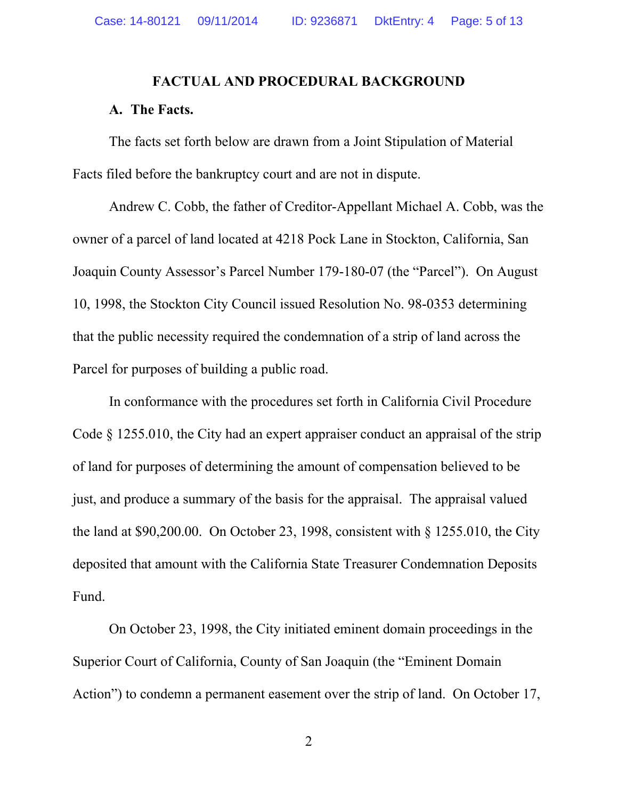#### **FACTUAL AND PROCEDURAL BACKGROUND**

#### **A. The Facts.**

The facts set forth below are drawn from a Joint Stipulation of Material Facts filed before the bankruptcy court and are not in dispute.

Andrew C. Cobb, the father of Creditor-Appellant Michael A. Cobb, was the owner of a parcel of land located at 4218 Pock Lane in Stockton, California, San Joaquin County Assessor's Parcel Number 179-180-07 (the "Parcel"). On August 10, 1998, the Stockton City Council issued Resolution No. 98-0353 determining that the public necessity required the condemnation of a strip of land across the Parcel for purposes of building a public road.

In conformance with the procedures set forth in California Civil Procedure Code § 1255.010, the City had an expert appraiser conduct an appraisal of the strip of land for purposes of determining the amount of compensation believed to be just, and produce a summary of the basis for the appraisal. The appraisal valued the land at \$90,200.00. On October 23, 1998, consistent with § 1255.010, the City deposited that amount with the California State Treasurer Condemnation Deposits Fund.

On October 23, 1998, the City initiated eminent domain proceedings in the Superior Court of California, County of San Joaquin (the "Eminent Domain Action") to condemn a permanent easement over the strip of land. On October 17,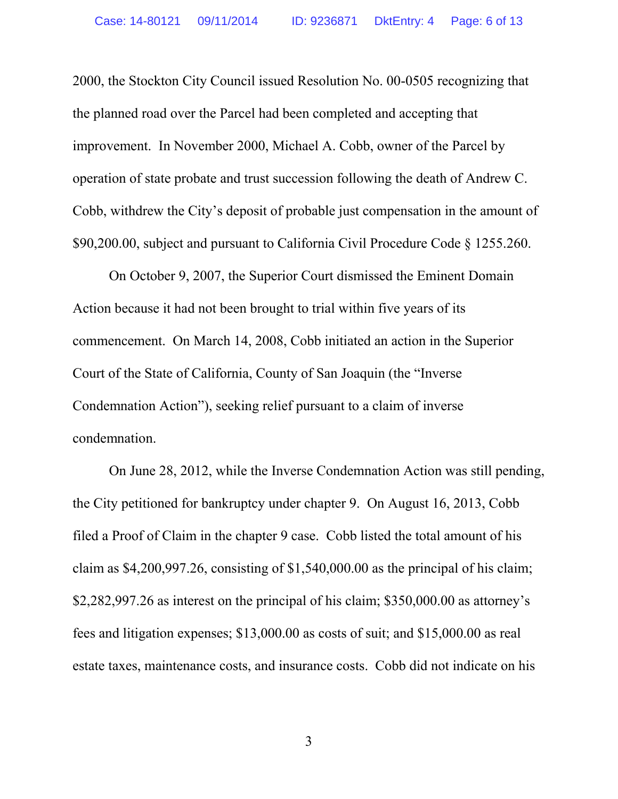2000, the Stockton City Council issued Resolution No. 00-0505 recognizing that the planned road over the Parcel had been completed and accepting that improvement. In November 2000, Michael A. Cobb, owner of the Parcel by operation of state probate and trust succession following the death of Andrew C. Cobb, withdrew the City's deposit of probable just compensation in the amount of \$90,200.00, subject and pursuant to California Civil Procedure Code § 1255.260.

On October 9, 2007, the Superior Court dismissed the Eminent Domain Action because it had not been brought to trial within five years of its commencement. On March 14, 2008, Cobb initiated an action in the Superior Court of the State of California, County of San Joaquin (the "Inverse Condemnation Action"), seeking relief pursuant to a claim of inverse condemnation.

On June 28, 2012, while the Inverse Condemnation Action was still pending, the City petitioned for bankruptcy under chapter 9. On August 16, 2013, Cobb filed a Proof of Claim in the chapter 9 case. Cobb listed the total amount of his claim as \$4,200,997.26, consisting of \$1,540,000.00 as the principal of his claim; \$2,282,997.26 as interest on the principal of his claim; \$350,000.00 as attorney's fees and litigation expenses; \$13,000.00 as costs of suit; and \$15,000.00 as real estate taxes, maintenance costs, and insurance costs. Cobb did not indicate on his

3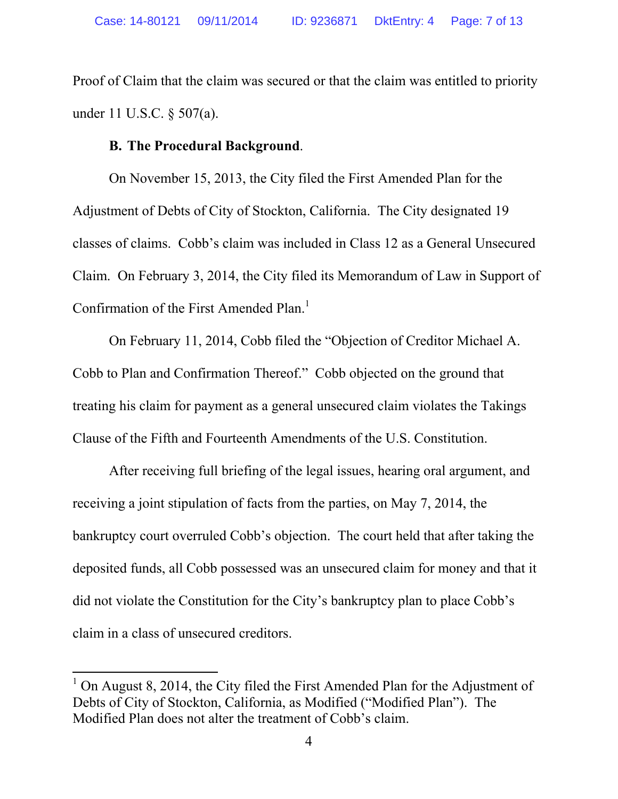Proof of Claim that the claim was secured or that the claim was entitled to priority under 11 U.S.C. § 507(a).

### **B. The Procedural Background**.

On November 15, 2013, the City filed the First Amended Plan for the Adjustment of Debts of City of Stockton, California. The City designated 19 classes of claims. Cobb's claim was included in Class 12 as a General Unsecured Claim. On February 3, 2014, the City filed its Memorandum of Law in Support of Confirmation of the First Amended Plan.<sup>1</sup>

On February 11, 2014, Cobb filed the "Objection of Creditor Michael A. Cobb to Plan and Confirmation Thereof." Cobb objected on the ground that treating his claim for payment as a general unsecured claim violates the Takings Clause of the Fifth and Fourteenth Amendments of the U.S. Constitution.

After receiving full briefing of the legal issues, hearing oral argument, and receiving a joint stipulation of facts from the parties, on May 7, 2014, the bankruptcy court overruled Cobb's objection. The court held that after taking the deposited funds, all Cobb possessed was an unsecured claim for money and that it did not violate the Constitution for the City's bankruptcy plan to place Cobb's claim in a class of unsecured creditors.

 $\overline{a}$ 

<sup>&</sup>lt;sup>1</sup> On August 8, 2014, the City filed the First Amended Plan for the Adjustment of Debts of City of Stockton, California, as Modified ("Modified Plan"). The Modified Plan does not alter the treatment of Cobb's claim.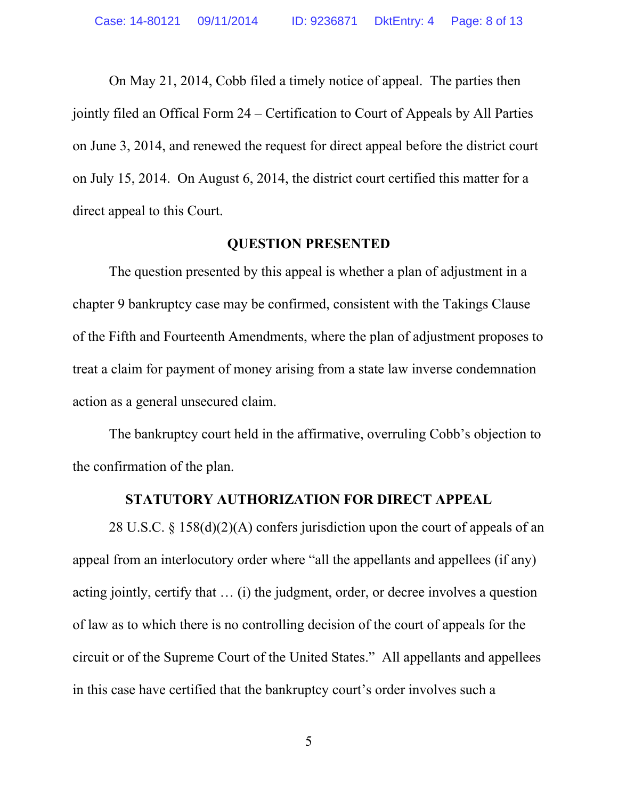On May 21, 2014, Cobb filed a timely notice of appeal. The parties then jointly filed an Offical Form 24 – Certification to Court of Appeals by All Parties on June 3, 2014, and renewed the request for direct appeal before the district court on July 15, 2014. On August 6, 2014, the district court certified this matter for a direct appeal to this Court.

#### **QUESTION PRESENTED**

The question presented by this appeal is whether a plan of adjustment in a chapter 9 bankruptcy case may be confirmed, consistent with the Takings Clause of the Fifth and Fourteenth Amendments, where the plan of adjustment proposes to treat a claim for payment of money arising from a state law inverse condemnation action as a general unsecured claim.

The bankruptcy court held in the affirmative, overruling Cobb's objection to the confirmation of the plan.

#### **STATUTORY AUTHORIZATION FOR DIRECT APPEAL**

28 U.S.C. § 158(d)(2)(A) confers jurisdiction upon the court of appeals of an appeal from an interlocutory order where "all the appellants and appellees (if any) acting jointly, certify that … (i) the judgment, order, or decree involves a question of law as to which there is no controlling decision of the court of appeals for the circuit or of the Supreme Court of the United States." All appellants and appellees in this case have certified that the bankruptcy court's order involves such a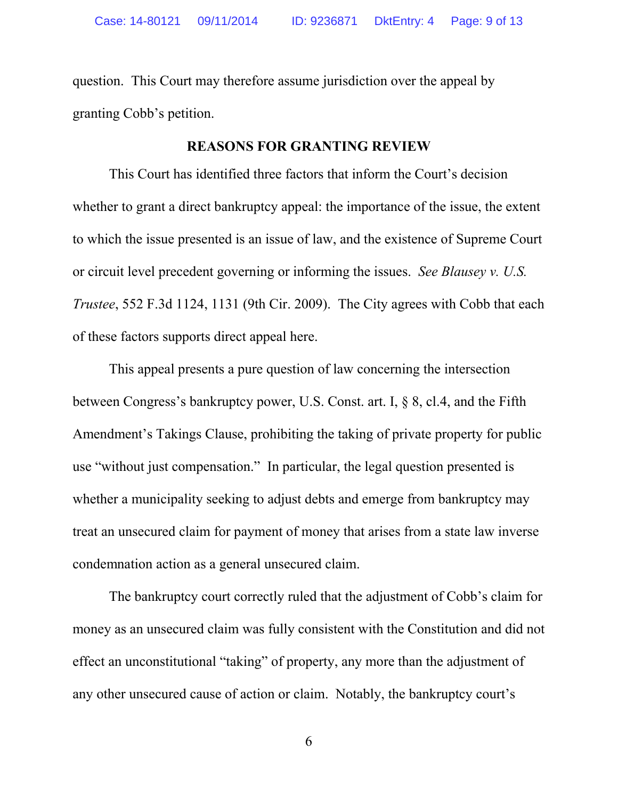question. This Court may therefore assume jurisdiction over the appeal by granting Cobb's petition.

#### **REASONS FOR GRANTING REVIEW**

This Court has identified three factors that inform the Court's decision whether to grant a direct bankruptcy appeal: the importance of the issue, the extent to which the issue presented is an issue of law, and the existence of Supreme Court or circuit level precedent governing or informing the issues. *See Blausey v. U.S. Trustee*, 552 F.3d 1124, 1131 (9th Cir. 2009). The City agrees with Cobb that each of these factors supports direct appeal here.

This appeal presents a pure question of law concerning the intersection between Congress's bankruptcy power, U.S. Const. art. I, § 8, cl.4, and the Fifth Amendment's Takings Clause, prohibiting the taking of private property for public use "without just compensation." In particular, the legal question presented is whether a municipality seeking to adjust debts and emerge from bankruptcy may treat an unsecured claim for payment of money that arises from a state law inverse condemnation action as a general unsecured claim.

The bankruptcy court correctly ruled that the adjustment of Cobb's claim for money as an unsecured claim was fully consistent with the Constitution and did not effect an unconstitutional "taking" of property, any more than the adjustment of any other unsecured cause of action or claim. Notably, the bankruptcy court's

6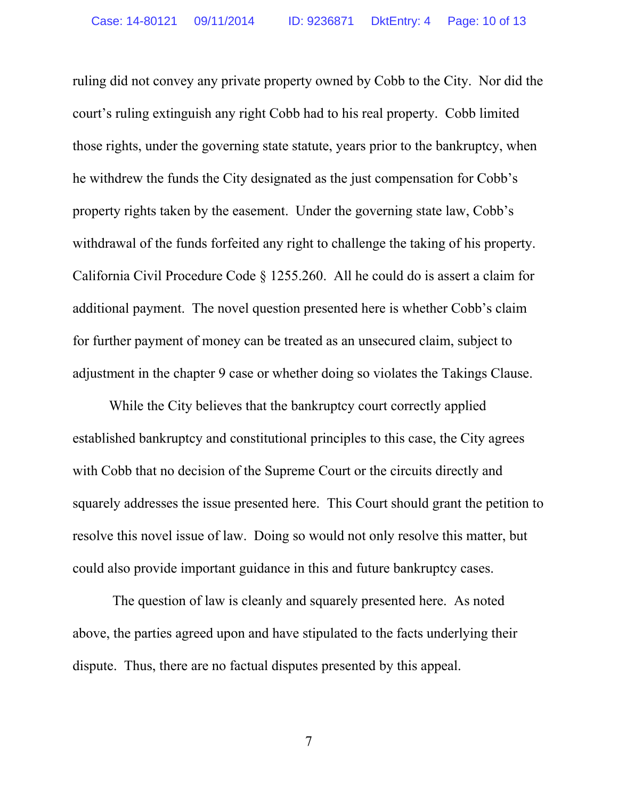ruling did not convey any private property owned by Cobb to the City. Nor did the court's ruling extinguish any right Cobb had to his real property. Cobb limited those rights, under the governing state statute, years prior to the bankruptcy, when he withdrew the funds the City designated as the just compensation for Cobb's property rights taken by the easement. Under the governing state law, Cobb's withdrawal of the funds forfeited any right to challenge the taking of his property. California Civil Procedure Code § 1255.260. All he could do is assert a claim for additional payment. The novel question presented here is whether Cobb's claim for further payment of money can be treated as an unsecured claim, subject to adjustment in the chapter 9 case or whether doing so violates the Takings Clause.

While the City believes that the bankruptcy court correctly applied established bankruptcy and constitutional principles to this case, the City agrees with Cobb that no decision of the Supreme Court or the circuits directly and squarely addresses the issue presented here. This Court should grant the petition to resolve this novel issue of law. Doing so would not only resolve this matter, but could also provide important guidance in this and future bankruptcy cases.

The question of law is cleanly and squarely presented here. As noted above, the parties agreed upon and have stipulated to the facts underlying their dispute. Thus, there are no factual disputes presented by this appeal.

7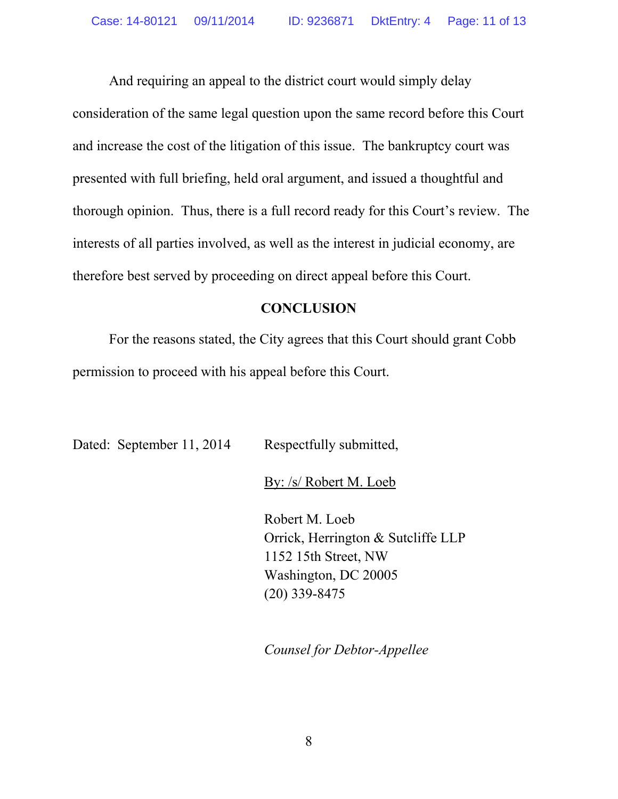And requiring an appeal to the district court would simply delay consideration of the same legal question upon the same record before this Court and increase the cost of the litigation of this issue. The bankruptcy court was presented with full briefing, held oral argument, and issued a thoughtful and thorough opinion. Thus, there is a full record ready for this Court's review. The interests of all parties involved, as well as the interest in judicial economy, are therefore best served by proceeding on direct appeal before this Court.

#### **CONCLUSION**

For the reasons stated, the City agrees that this Court should grant Cobb permission to proceed with his appeal before this Court.

| Dated: September 11, 2014 | Respectfully submitted,                                                                                                 |
|---------------------------|-------------------------------------------------------------------------------------------------------------------------|
|                           | By: /s/ Robert M. Loeb                                                                                                  |
|                           | Robert M. Loeb<br>Orrick, Herrington & Sutcliffe LLP<br>1152 15th Street, NW<br>Washington, DC 20005<br>$(20)$ 339-8475 |

*Counsel for Debtor-Appellee*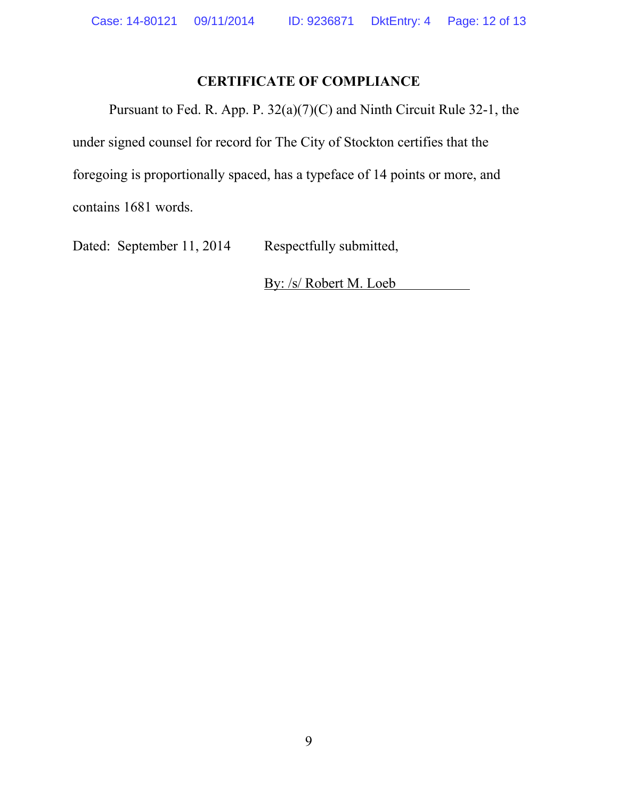### **CERTIFICATE OF COMPLIANCE**

Pursuant to Fed. R. App. P. 32(a)(7)(C) and Ninth Circuit Rule 32-1, the under signed counsel for record for The City of Stockton certifies that the foregoing is proportionally spaced, has a typeface of 14 points or more, and contains 1681 words.

Dated: September 11, 2014 Respectfully submitted,

By: /s/ Robert M. Loeb